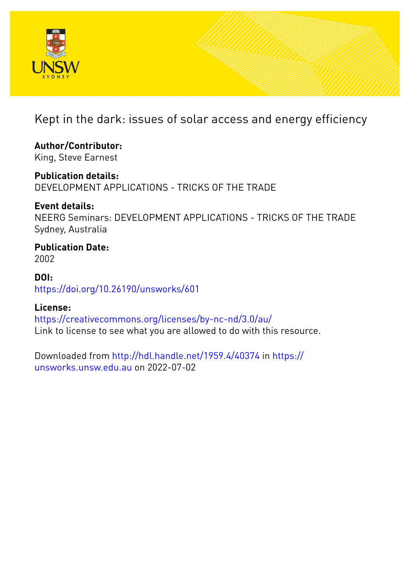

Kept in the dark: issues of solar access and energy efficiency

**Author/Contributor:** King, Steve Earnest

**Publication details:** DEVELOPMENT APPLICATIONS - TRICKS OF THE TRADE

**Event details:** NEERG Seminars: DEVELOPMENT APPLICATIONS - TRICKS OF THE TRADE Sydney, Australia

**Publication Date:** 2002

**DOI:** [https://doi.org/10.26190/unsworks/601](http://dx.doi.org/https://doi.org/10.26190/unsworks/601)

**License:** <https://creativecommons.org/licenses/by-nc-nd/3.0/au/> Link to license to see what you are allowed to do with this resource.

Downloaded from <http://hdl.handle.net/1959.4/40374> in [https://](https://unsworks.unsw.edu.au) [unsworks.unsw.edu.au](https://unsworks.unsw.edu.au) on 2022-07-02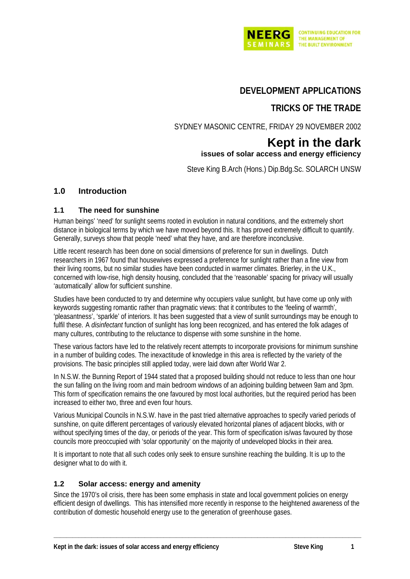

# **DEVELOPMENT APPLICATIONS**

# **TRICKS OF THE TRADE**

SYDNEY MASONIC CENTRE, FRIDAY 29 NOVEMBER 2002

## **Kept in the dark issues of solar access and energy efficiency**

Steve King B.Arch (Hons.) Dip.Bdg.Sc. SOLARCH UNSW

## **1.0 Introduction**

### **1.1 The need for sunshine**

Human beings' 'need' for sunlight seems rooted in evolution in natural conditions, and the extremely short distance in biological terms by which we have moved beyond this. It has proved extremely difficult to quantify. Generally, surveys show that people 'need' what they have, and are therefore inconclusive.

Little recent research has been done on social dimensions of preference for sun in dwellings. Dutch researchers in 1967 found that housewives expressed a preference for sunlight rather than a fine view from their living rooms, but no similar studies have been conducted in warmer climates. Brierley, in the U.K., concerned with low-rise, high density housing, concluded that the 'reasonable' spacing for privacy will usually 'automatically' allow for sufficient sunshine.

Studies have been conducted to try and determine why occupiers value sunlight, but have come up only with keywords suggesting romantic rather than pragmatic views: that it contributes to the 'feeling of warmth', 'pleasantness', 'sparkle' of interiors. It has been suggested that a view of sunlit surroundings may be enough to fulfil these. A *disinfectant* function of sunlight has long been recognized, and has entered the folk adages of many cultures, contributing to the reluctance to dispense with some sunshine in the home.

These various factors have led to the relatively recent attempts to incorporate provisions for minimum sunshine in a number of building codes. The inexactitude of knowledge in this area is reflected by the variety of the provisions. The basic principles still applied today, were laid down after World War 2.

In N.S.W. the Bunning Report of 1944 stated that a proposed building should not reduce to less than one hour the sun falling on the living room and main bedroom windows of an adjoining building between 9am and 3pm. This form of specification remains the one favoured by most local authorities, but the required period has been increased to either two, three and even four hours.

Various Municipal Councils in N.S.W. have in the past tried alternative approaches to specify varied periods of sunshine, on quite different percentages of variously elevated horizontal planes of adjacent blocks, with or without specifying times of the day, or periods of the year. This form of specification is/was favoured by those councils more preoccupied with 'solar opportunity' on the majority of undeveloped blocks in their area.

It is important to note that all such codes only seek to ensure sunshine reaching the building. It is up to the designer what to do with it.

#### **1.2 Solar access: energy and amenity**

Since the 1970's oil crisis, there has been some emphasis in state and local government policies on energy efficient design of dwellings. This has intensified more recently in response to the heightened awareness of the contribution of domestic household energy use to the generation of greenhouse gases.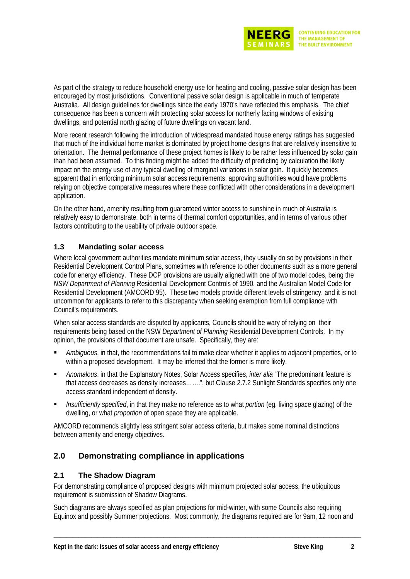

As part of the strategy to reduce household energy use for heating and cooling, passive solar design has been encouraged by most jurisdictions. Conventional passive solar design is applicable in much of temperate Australia. All design guidelines for dwellings since the early 1970's have reflected this emphasis. The chief consequence has been a concern with protecting solar access for northerly facing windows of existing dwellings, and potential north glazing of future dwellings on vacant land.

More recent research following the introduction of widespread mandated house energy ratings has suggested that much of the individual home market is dominated by project home designs that are relatively insensitive to orientation. The thermal performance of these project homes is likely to be rather less influenced by solar gain than had been assumed. To this finding might be added the difficulty of predicting by calculation the likely impact on the energy use of any typical dwelling of marginal variations in solar gain. It quickly becomes apparent that in enforcing minimum solar access requirements, approving authorities would have problems relying on objective comparative measures where these conflicted with other considerations in a development application.

On the other hand, amenity resulting from guaranteed winter access to sunshine in much of Australia is relatively easy to demonstrate, both in terms of thermal comfort opportunities, and in terms of various other factors contributing to the usability of private outdoor space.

## **1.3 Mandating solar access**

Where local government authorities mandate minimum solar access, they usually do so by provisions in their Residential Development Control Plans, sometimes with reference to other documents such as a more general code for energy efficiency. These DCP provisions are usually aligned with one of two model codes, being the *NSW Department of Planning* Residential Development Controls of 1990, and the Australian Model Code for Residential Development (AMCORD 95). These two models provide different levels of stringency, and it is not uncommon for applicants to refer to this discrepancy when seeking exemption from full compliance with Council's requirements.

When solar access standards are disputed by applicants, Councils should be wary of relying on their requirements being based on the NSW *Department of Planning* Residential Development Controls. In my opinion, the provisions of that document are unsafe. Specifically, they are:

- *Ambiguous*, in that, the recommendations fail to make clear whether it applies to adjacent properties, or to within a proposed development. It may be inferred that the former is more likely.
- *Anomalous*, in that the Explanatory Notes, Solar Access specifies, *inter alia* "The predominant feature is that access decreases as density increases…….", but Clause 2.7.2 Sunlight Standards specifies only one access standard independent of density.
- *Insufficiently specified*, in that they make no reference as to what *portion* (eg. living space glazing) of the dwelling, or what *proportion* of open space they are applicable.

AMCORD recommends slightly less stringent solar access criteria, but makes some nominal distinctions between amenity and energy objectives.

## **2.0 Demonstrating compliance in applications**

## **2.1 The Shadow Diagram**

For demonstrating compliance of proposed designs with minimum projected solar access, the ubiquitous requirement is submission of Shadow Diagrams.

Such diagrams are always specified as plan projections for mid-winter, with some Councils also requiring Equinox and possibly Summer projections. Most commonly, the diagrams required are for 9am, 12 noon and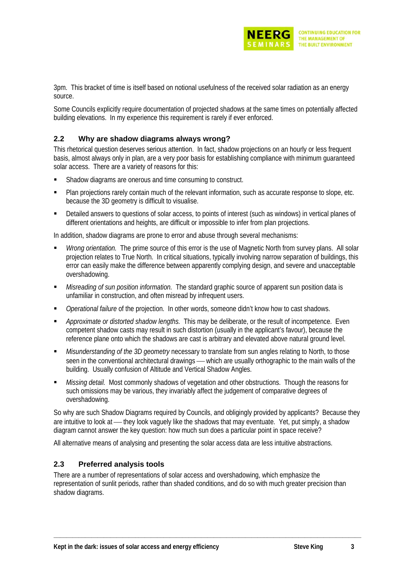

3pm. This bracket of time is itself based on notional usefulness of the received solar radiation as an energy source.

Some Councils explicitly require documentation of projected shadows at the same times on potentially affected building elevations. In my experience this requirement is rarely if ever enforced.

#### **2.2 Why are shadow diagrams always wrong?**

This rhetorical question deserves serious attention. In fact, shadow projections on an hourly or less frequent basis, almost always only in plan, are a very poor basis for establishing compliance with minimum guaranteed solar access. There are a variety of reasons for this:

- Shadow diagrams are onerous and time consuming to construct.
- Plan projections rarely contain much of the relevant information, such as accurate response to slope, etc. because the 3D geometry is difficult to visualise.
- Detailed answers to questions of solar access, to points of interest (such as windows) in vertical planes of different orientations and heights, are difficult or impossible to infer from plan projections.

In addition, shadow diagrams are prone to error and abuse through several mechanisms:

- *Wrong orientation.* The prime source of this error is the use of Magnetic North from survey plans. All solar projection relates to True North. In critical situations, typically involving narrow separation of buildings, this error can easily make the difference between apparently complying design, and severe and unacceptable overshadowing.
- *Misreading of sun position information.* The standard graphic source of apparent sun position data is unfamiliar in construction, and often misread by infrequent users.
- *Operational failure* of the projection. In other words, someone didn't know how to cast shadows.
- *Approximate or distorted shadow lengths.* This may be deliberate, or the result of incompetence. Even competent shadow casts may result in such distortion (usually in the applicant's favour), because the reference plane onto which the shadows are cast is arbitrary and elevated above natural ground level.
- *Misunderstanding of the 3D geometry* necessary to translate from sun angles relating to North, to those seen in the conventional architectural drawings — which are usually orthographic to the main walls of the building. Usually confusion of Altitude and Vertical Shadow Angles.
- *Missing detail.* Most commonly shadows of vegetation and other obstructions. Though the reasons for such omissions may be various, they invariably affect the judgement of comparative degrees of overshadowing.

So why are such Shadow Diagrams required by Councils, and obligingly provided by applicants? Because they are intuitive to look at — they look vaguely like the shadows that may eventuate. Yet, put simply, a shadow diagram cannot answer the key question: how much sun does a particular point in space receive?

All alternative means of analysing and presenting the solar access data are less intuitive abstractions.

#### **2.3 Preferred analysis tools**

There are a number of representations of solar access and overshadowing, which emphasize the representation of sunlit periods, rather than shaded conditions, and do so with much greater precision than shadow diagrams.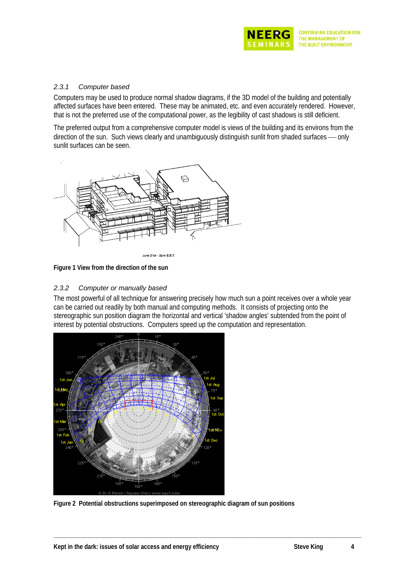

#### *2.3.1 Computer based*

Computers may be used to produce normal shadow diagrams, if the 3D model of the building and potentially affected surfaces have been entered. These may be animated, etc. and even accurately rendered. However, that is not the preferred use of the computational power, as the legibility of cast shadows is still deficient.

The preferred output from a comprehensive computer model is views of the building and its environs from the direction of the sun. Such views clearly and unambiguously distinguish sunlit from shaded surfaces — only sunlit surfaces can be seen.



June 21st - 2pm E.S.T.

**Figure 1 View from the direction of the sun** 

#### *2.3.2 Computer or manually based*

The most powerful of all technique for answering precisely how much sun a point receives over a whole year can be carried out readily by both manual and computing methods. It consists of projecting onto the stereographic sun position diagram the horizontal and vertical 'shadow angles' subtended from the point of interest by potential obstructions. Computers speed up the computation and representation.



**Figure 2 Potential obstructions superimposed on stereographic diagram of sun positions**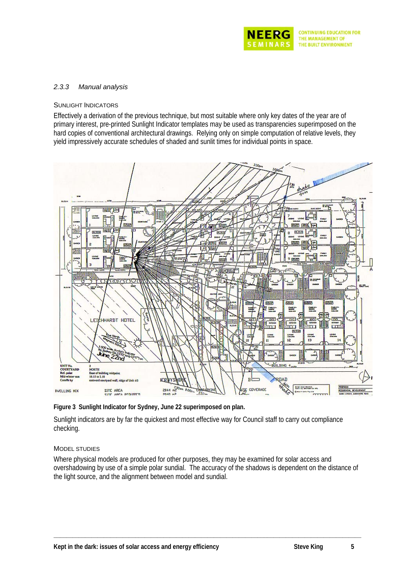

#### *2.3.3 Manual analysis*

#### SUNLIGHT INDICATORS

Effectively a derivation of the previous technique, but most suitable where only key dates of the year are of primary interest, pre-printed Sunlight Indicator templates may be used as transparencies superimposed on the hard copies of conventional architectural drawings. Relying only on simple computation of relative levels, they yield impressively accurate schedules of shaded and sunlit times for individual points in space.



**Figure 3 Sunlight Indicator for Sydney, June 22 superimposed on plan.** 

Sunlight indicators are by far the quickest and most effective way for Council staff to carry out compliance checking.

#### MODEL STUDIES

Where physical models are produced for other purposes, they may be examined for solar access and overshadowing by use of a simple polar sundial. The accuracy of the shadows is dependent on the distance of the light source, and the alignment between model and sundial.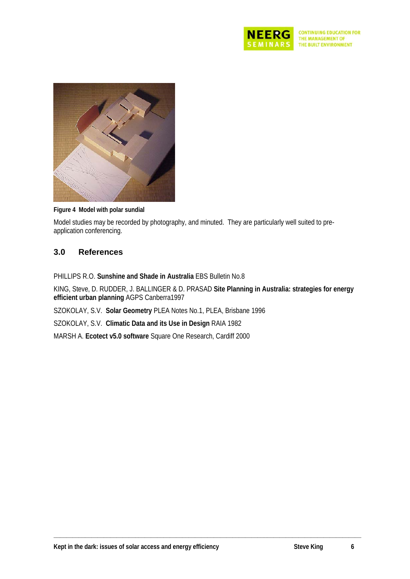



**Figure 4 Model with polar sundial** 

Model studies may be recorded by photography, and minuted. They are particularly well suited to preapplication conferencing.

## **3.0 References**

PHILLIPS R.O. **Sunshine and Shade in Australia** EBS Bulletin No.8

KING, Steve, D. RUDDER, J. BALLINGER & D. PRASAD **Site Planning in Australia: strategies for energy efficient urban planning** AGPS Canberra1997

**\_\_\_\_\_\_\_\_\_\_\_\_\_\_\_\_\_\_\_\_\_\_\_\_\_\_\_\_\_\_\_\_\_\_\_\_\_\_\_\_\_\_\_\_\_\_\_\_\_\_\_\_\_\_\_\_\_\_\_\_\_\_\_\_\_\_\_\_\_\_\_\_\_\_\_\_\_\_\_\_\_\_\_\_\_\_\_\_\_\_\_\_\_\_\_\_\_\_** 

SZOKOLAY, S.V. **Solar Geometry** PLEA Notes No.1, PLEA, Brisbane 1996

SZOKOLAY, S.V. **Climatic Data and its Use in Design** RAIA 1982

MARSH A. **Ecotect v5.0 software** Square One Research, Cardiff 2000